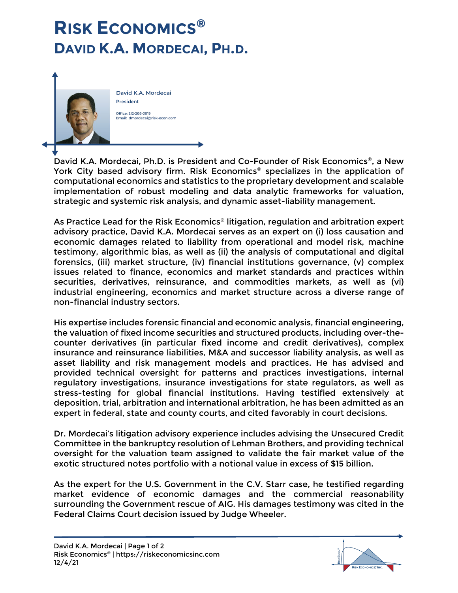

David K.A. Mordecai **President** Office: 212-208-3019 Email: dmordecai@risk-econ.com

David K.A. Mordecai, Ph.D. is President and Co-Founder of [Risk Economics®](https://riskeconomicsinc.com/), a New York City based advisory firm. Risk Economics® specializes in the application of computational economics and statistics to the proprietary development and scalable implementation of robust modeling and data analytic frameworks for valuation, strategic and systemic risk analysis, and dynamic asset-liability management.

As Practice Lead for the Risk Economics<sup>®</sup> litigation, regulation and arbitration expert advisory practice, David K.A. Mordecai serves as an expert on (i) loss causation and economic damages related to liability from operational and model risk, machine testimony, algorithmic bias, as well as (ii) the analysis of computational and digital forensics, (iii) market structure, (iv) financial institutions governance, (v) complex issues related to finance, economics and market standards and practices within securities, derivatives, reinsurance, and commodities markets, as well as (vi) industrial engineering, economics and market structure across a diverse range of non-financial industry sectors.

His expertise includes forensic financial and economic analysis, financial engineering, the valuation of fixed income securities and structured products, including over-thecounter derivatives (in particular fixed income and credit derivatives), complex insurance and reinsurance liabilities, M&A and successor liability analysis, as well as asset liability and risk management models and practices. He has advised and provided technical oversight for patterns and practices investigations, internal regulatory investigations, insurance investigations for state regulators, as well as stress-testing for global financial institutions. Having testified extensively at deposition, trial, arbitration and international arbitration, he has been admitted as an expert in federal, state and county courts, and cited favorably in court decisions.

Dr. Mordecai's litigation advisory experience includes advising the Unsecured Credit Committee in the bankruptcy resolution of Lehman Brothers, and providing technical oversight for the valuation team assigned to validate the fair market value of the exotic structured notes portfolio with a notional value in excess of \$15 billion.

As the expert for the U.S. Government in the C.V. Starr case, he testified regarding market evidence of economic damages and the commercial reasonability surrounding the Government rescue of AIG. His damages testimony was cited in the Federal Claims Court decision issued by Judge Wheeler.

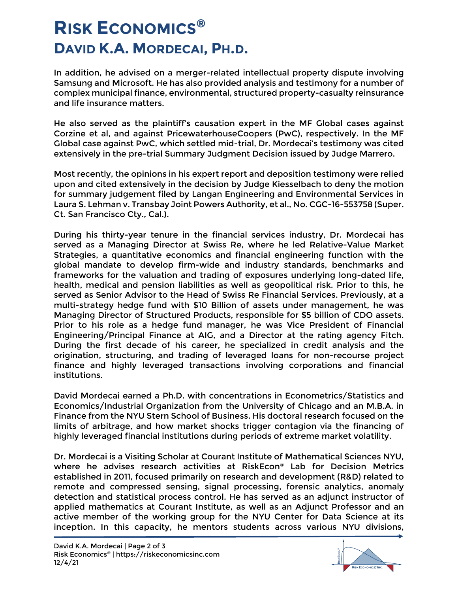In addition, he advised on a merger-related intellectual property dispute involving Samsung and Microsoft. He has also provided analysis and testimony for a number of complex municipal finance, environmental, structured property-casualty reinsurance and life insurance matters.

He also served as the plaintiff's causation expert in the MF Global cases against Corzine et al, and against PricewaterhouseCoopers (PwC), respectively. In the MF Global case against PwC, which settled mid-trial, Dr. Mordecai's testimony was cited extensively in the [pre-trial Summary Judgment Decision issued by Judge Marrero.](http://ia800906.us.archive.org/26/items/gov.uscourts.nysd.425194/gov.uscourts.nysd.425194.53.0.pdf)

Most recently, the opinions in his expert report and deposition testimony were relied upon and cited extensively in the decision by Judge Kiesselbach to deny the motion for summary judgement filed by Langan Engineering and Environmental Services in Laura S. Lehman v. Transbay Joint Powers Authority, et al., No. CGC-16-553758 (Super. Ct. San Francisco Cty., Cal.).

During his thirty-year tenure in the financial services industry, Dr. Mordecai has served as a Managing Director at Swiss Re, where he led Relative-Value Market Strategies, a quantitative economics and financial engineering function with the global mandate to develop firm-wide and industry standards, benchmarks and frameworks for the valuation and trading of exposures underlying long-dated life, health, medical and pension liabilities as well as geopolitical risk. Prior to this, he served as Senior Advisor to the Head of Swiss Re Financial Services. Previously, at a multi-strategy hedge fund with \$10 Billion of assets under management, he was Managing Director of Structured Products, responsible for \$5 billion of CDO assets. Prior to his role as a hedge fund manager, he was Vice President of Financial Engineering/Principal Finance at AIG, and a Director at the rating agency Fitch. During the first decade of his career, he specialized in credit analysis and the origination, structuring, and trading of leveraged loans for non-recourse project finance and highly leveraged transactions involving corporations and financial institutions.

David Mordecai earned a Ph.D. with concentrations in Econometrics/Statistics and Economics/Industrial Organization from the [University of Chicago](https://www.uchicago.edu/) and an M.B.A. in Finance from the [NYU Stern School of Business.](https://www.stern.nyu.edu/) His doctoral research focused on the limits of arbitrage, and how market shocks trigger contagion via the financing of highly leveraged financial institutions during periods of extreme market volatility.

Dr. Mordecai is a Visiting Scholar at [Courant Institute of Mathematical Sciences NYU,](https://cims.nyu.edu/) where he advises research activities at RiskEcon® [Lab for Decision Metrics](https://wp.nyu.edu/riskeconlab/) established in 2011, focused primarily on research and development (R&D) related to remote and compressed sensing, signal processing, forensic analytics, anomaly detection and statistical process control. He has served as an adjunct instructor of applied mathematics at Courant Institute, as well as an Adjunct Professor and an active member of the working group for the NYU Center for Data Science at its inception. In this capacity, he mentors students across various NYU divisions,

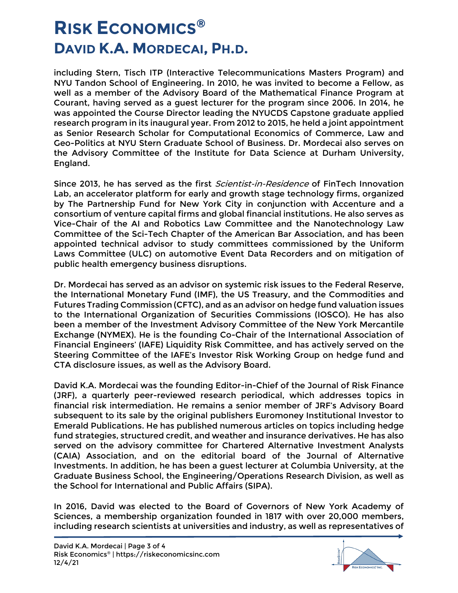including Stern, Tisch ITP (Interactive Telecommunications Masters Program) and NYU Tandon School of Engineering. In 2010, he was invited to become a Fellow, as well as a member of the Advisory Board of the Mathematical Finance Program at Courant, having served as a guest lecturer for the program since 2006. In 2014, he was appointed the Course Director leading the NYUCDS Capstone graduate applied research program in its inaugural year. From 2012 to 2015, he held a joint appointment as Senior Research Scholar for Computational Economics of Commerce, Law and Geo-Politics at NYU Stern Graduate School of Business. Dr. Mordecai also serves on the Advisory Committee of the Institute for Data Science at Durham University, England.

Since 2013, he has served as the first *Scientist-in-Residence* of FinTech Innovation [Lab,](https://www.fintechinnovationlab.com/) an accelerator platform for early and growth stage technology firms, organized by [The Partnership Fund for New York City](https://pfnyc.org/) in conjunction with Accenture and a consortium of venture capital firms and global financial institutions. He also serves as Vice-Chair of the AI and Robotics Law Committee and the Nanotechnology Law Committee of the Sci-Tech Chapter of the American Bar Association, and has been appointed technical advisor to study committees commissioned by the Uniform Laws Committee (ULC) on automotive Event Data Recorders and on mitigation of public health emergency business disruptions.

Dr. Mordecai has served as an advisor on systemic risk issues to the Federal Reserve, the International Monetary Fund (IMF), the US Treasury, and the Commodities and Futures Trading Commission (CFTC), and as an advisor on hedge fund valuation issues to the International Organization of Securities Commissions (IOSCO). He has also been a member of the Investment Advisory Committee of the New York Mercantile Exchange (NYMEX). He is the founding Co-Chair of the International Association of Financial Engineers' (IAFE) Liquidity Risk Committee, and has actively served on the Steering Committee of the IAFE's Investor Risk Working Group on hedge fund and CTA disclosure issues, as well as the Advisory Board.

David K.A. Mordecai was the founding Editor-in-Chief of the [Journal of Risk Finance](https://www.emerald.com/insight/publication/issn/1526-5943) (JRF), a quarterly peer-reviewed research periodical, which addresses topics in financial risk intermediation. He remains a senior member of JRF's Advisory Board subsequent to its sale by the original publishers Euromoney Institutional Investor to Emerald Publications. He has published numerous articles on topics including hedge fund strategies, structured credit, and weather and insurance derivatives. He has also served on the advisory committee for Chartered Alternative Investment Analysts (CAIA) Association, and on the editorial board of the Journal of Alternative Investments. In addition, he has been a guest lecturer at Columbia University, at the Graduate Business School, the Engineering/Operations Research Division, as well as the School for International and Public Affairs (SIPA).

In 2016, David was elected to the Board of Governors of [New York Academy of](https://www.nyas.org/)  [Sciences,](https://www.nyas.org/) a membership organization founded in 1817 with over 20,000 members, including research scientists at universities and industry, as well as representatives of